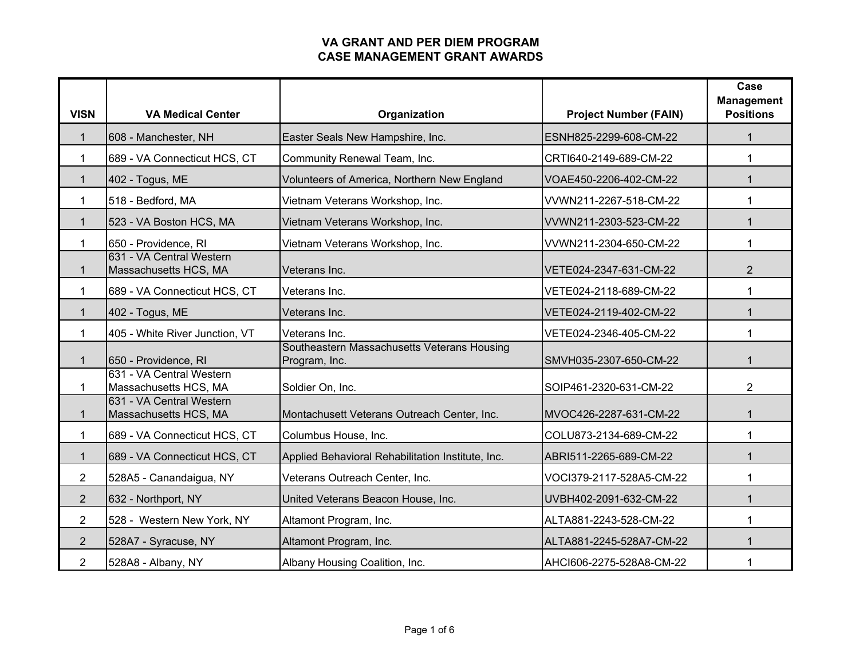| <b>VISN</b>    | <b>VA Medical Center</b>                          | Organization                                                 | <b>Project Number (FAIN)</b> | Case<br><b>Management</b><br><b>Positions</b> |
|----------------|---------------------------------------------------|--------------------------------------------------------------|------------------------------|-----------------------------------------------|
| 1              | 608 - Manchester, NH                              | Easter Seals New Hampshire, Inc.                             | ESNH825-2299-608-CM-22       | $\mathbf{1}$                                  |
| 1              | 689 - VA Connecticut HCS, CT                      | Community Renewal Team, Inc.                                 | CRTI640-2149-689-CM-22       | 1                                             |
| $\mathbf{1}$   | 402 - Togus, ME                                   | Volunteers of America, Northern New England                  | VOAE450-2206-402-CM-22       | $\mathbf{1}$                                  |
| 1              | 518 - Bedford, MA                                 | Vietnam Veterans Workshop, Inc.                              | VVWN211-2267-518-CM-22       | 1                                             |
| $\mathbf{1}$   | 523 - VA Boston HCS, MA                           | Vietnam Veterans Workshop, Inc.                              | VVWN211-2303-523-CM-22       | $\mathbf 1$                                   |
| 1              | 650 - Providence, RI                              | Vietnam Veterans Workshop, Inc.                              | VVWN211-2304-650-CM-22       | 1                                             |
| 1              | 631 - VA Central Western<br>Massachusetts HCS, MA | Veterans Inc.                                                | VETE024-2347-631-CM-22       | $\overline{2}$                                |
| 1              | 689 - VA Connecticut HCS, CT                      | Veterans Inc.                                                | VETE024-2118-689-CM-22       | 1                                             |
| $\mathbf{1}$   | 402 - Togus, ME                                   | Veterans Inc.                                                | VETE024-2119-402-CM-22       | $\mathbf{1}$                                  |
| 1              | 405 - White River Junction, VT                    | Veterans Inc.                                                | VETE024-2346-405-CM-22       | 1                                             |
| $\mathbf{1}$   | 650 - Providence, RI                              | Southeastern Massachusetts Veterans Housing<br>Program, Inc. | SMVH035-2307-650-CM-22       | $\mathbf{1}$                                  |
| 1              | 631 - VA Central Western<br>Massachusetts HCS, MA | Soldier On, Inc.                                             | SOIP461-2320-631-CM-22       | $\overline{2}$                                |
| $\mathbf{1}$   | 631 - VA Central Western<br>Massachusetts HCS, MA | Montachusett Veterans Outreach Center, Inc.                  | MVOC426-2287-631-CM-22       | $\mathbf{1}$                                  |
| 1              | 689 - VA Connecticut HCS, CT                      | Columbus House, Inc.                                         | COLU873-2134-689-CM-22       | 1                                             |
| $\mathbf{1}$   | 689 - VA Connecticut HCS, CT                      | Applied Behavioral Rehabilitation Institute, Inc.            | ABRI511-2265-689-CM-22       | $\mathbf 1$                                   |
| $\overline{2}$ | 528A5 - Canandaigua, NY                           | Veterans Outreach Center, Inc.                               | VOCI379-2117-528A5-CM-22     | $\mathbf 1$                                   |
| 2              | 632 - Northport, NY                               | United Veterans Beacon House, Inc.                           | UVBH402-2091-632-CM-22       | $\mathbf{1}$                                  |
| $\overline{2}$ | 528 - Western New York, NY                        | Altamont Program, Inc.                                       | ALTA881-2243-528-CM-22       | 1                                             |
| $\overline{2}$ | 528A7 - Syracuse, NY                              | Altamont Program, Inc.                                       | ALTA881-2245-528A7-CM-22     | $\mathbf 1$                                   |
| $\overline{2}$ | 528A8 - Albany, NY                                | Albany Housing Coalition, Inc.                               | AHCI606-2275-528A8-CM-22     | 1                                             |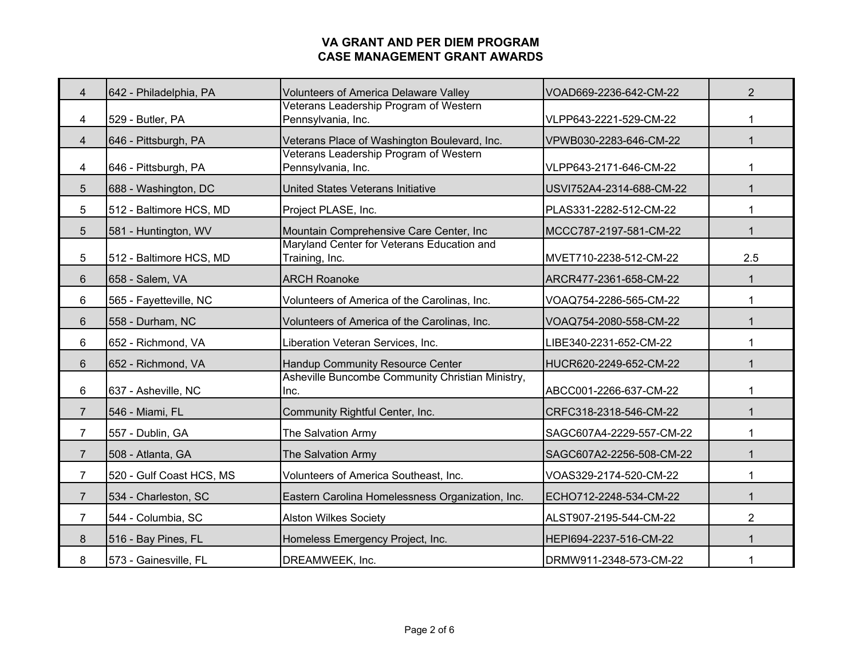| 4              | 642 - Philadelphia, PA   | <b>Volunteers of America Delaware Valley</b>                 | VOAD669-2236-642-CM-22   | $\overline{2}$ |
|----------------|--------------------------|--------------------------------------------------------------|--------------------------|----------------|
| 4              | 529 - Butler, PA         | Veterans Leadership Program of Western<br>Pennsylvania, Inc. | VLPP643-2221-529-CM-22   | 1              |
| $\overline{4}$ | 646 - Pittsburgh, PA     | Veterans Place of Washington Boulevard, Inc.                 | VPWB030-2283-646-CM-22   | 1              |
| 4              | 646 - Pittsburgh, PA     | Veterans Leadership Program of Western<br>Pennsylvania, Inc. | VLPP643-2171-646-CM-22   | 1              |
| 5              | 688 - Washington, DC     | United States Veterans Initiative                            | USVI752A4-2314-688-CM-22 | 1              |
| 5              | 512 - Baltimore HCS, MD  | Project PLASE, Inc.                                          | PLAS331-2282-512-CM-22   | 1              |
| 5              | 581 - Huntington, WV     | Mountain Comprehensive Care Center, Inc                      | MCCC787-2197-581-CM-22   | $\mathbf 1$    |
| 5              | 512 - Baltimore HCS, MD  | Maryland Center for Veterans Education and<br>Training, Inc. | MVET710-2238-512-CM-22   | 2.5            |
| 6              | 658 - Salem, VA          | <b>ARCH Roanoke</b>                                          | ARCR477-2361-658-CM-22   | $\mathbf{1}$   |
| 6              | 565 - Fayetteville, NC   | Volunteers of America of the Carolinas, Inc.                 | VOAQ754-2286-565-CM-22   | 1              |
| 6              | 558 - Durham, NC         | Volunteers of America of the Carolinas, Inc.                 | VOAQ754-2080-558-CM-22   | $\mathbf{1}$   |
| 6              | 652 - Richmond, VA       | Liberation Veteran Services, Inc.                            | LIBE340-2231-652-CM-22   | 1              |
| 6              | 652 - Richmond, VA       | Handup Community Resource Center                             | HUCR620-2249-652-CM-22   | 1              |
| 6              | 637 - Asheville, NC      | Asheville Buncombe Community Christian Ministry,<br>Inc.     | ABCC001-2266-637-CM-22   | 1              |
| $\overline{7}$ | 546 - Miami, FL          | Community Rightful Center, Inc.                              | CRFC318-2318-546-CM-22   | $\mathbf 1$    |
| 7              | 557 - Dublin, GA         | The Salvation Army                                           | SAGC607A4-2229-557-CM-22 | 1              |
| 7              | 508 - Atlanta, GA        | The Salvation Army                                           | SAGC607A2-2256-508-CM-22 | 1              |
| $\overline{7}$ | 520 - Gulf Coast HCS, MS | Volunteers of America Southeast, Inc.                        | VOAS329-2174-520-CM-22   | 1              |
| $\overline{7}$ | 534 - Charleston, SC     | Eastern Carolina Homelessness Organization, Inc.             | ECHO712-2248-534-CM-22   | $\mathbf{1}$   |
| 7              | 544 - Columbia, SC       | <b>Alston Wilkes Society</b>                                 | ALST907-2195-544-CM-22   | $\overline{2}$ |
| 8              | 516 - Bay Pines, FL      | Homeless Emergency Project, Inc.                             | HEPI694-2237-516-CM-22   | 1              |
| 8              | 573 - Gainesville, FL    | DREAMWEEK, Inc.                                              | DRMW911-2348-573-CM-22   | 1              |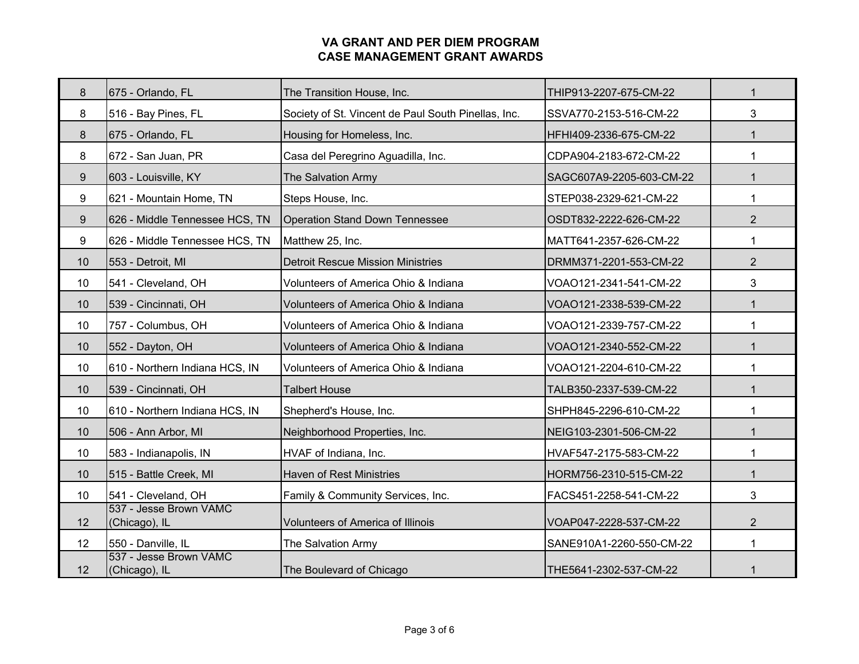| 8  | 675 - Orlando, FL                       | The Transition House, Inc.                          | THIP913-2207-675-CM-22   | $\mathbf{1}$   |
|----|-----------------------------------------|-----------------------------------------------------|--------------------------|----------------|
| 8  | 516 - Bay Pines, FL                     | Society of St. Vincent de Paul South Pinellas, Inc. | SSVA770-2153-516-CM-22   | 3              |
| 8  | 675 - Orlando, FL                       | Housing for Homeless, Inc.                          | HFHI409-2336-675-CM-22   | $\mathbf 1$    |
| 8  | 672 - San Juan, PR                      | Casa del Peregrino Aguadilla, Inc.                  | CDPA904-2183-672-CM-22   | $\mathbf 1$    |
| 9  | 603 - Louisville, KY                    | The Salvation Army                                  | SAGC607A9-2205-603-CM-22 | $\mathbf{1}$   |
| 9  | 621 - Mountain Home, TN                 | Steps House, Inc.                                   | STEP038-2329-621-CM-22   | $\mathbf{1}$   |
| 9  | 626 - Middle Tennessee HCS, TN          | <b>Operation Stand Down Tennessee</b>               | OSDT832-2222-626-CM-22   | $\overline{2}$ |
| 9  | 626 - Middle Tennessee HCS, TN          | Matthew 25, Inc.                                    | MATT641-2357-626-CM-22   | $\mathbf 1$    |
| 10 | 553 - Detroit, MI                       | <b>Detroit Rescue Mission Ministries</b>            | DRMM371-2201-553-CM-22   | $\overline{2}$ |
| 10 | 541 - Cleveland, OH                     | Volunteers of America Ohio & Indiana                | VOAO121-2341-541-CM-22   | 3              |
| 10 | 539 - Cincinnati, OH                    | Volunteers of America Ohio & Indiana                | VOAO121-2338-539-CM-22   | $\mathbf{1}$   |
| 10 | 757 - Columbus, OH                      | Volunteers of America Ohio & Indiana                | VOAO121-2339-757-CM-22   | $\mathbf 1$    |
| 10 | 552 - Dayton, OH                        | Volunteers of America Ohio & Indiana                | VOAO121-2340-552-CM-22   | $\mathbf{1}$   |
| 10 | 610 - Northern Indiana HCS, IN          | Volunteers of America Ohio & Indiana                | VOAO121-2204-610-CM-22   | 1              |
| 10 | 539 - Cincinnati, OH                    | <b>Talbert House</b>                                | TALB350-2337-539-CM-22   | $\mathbf{1}$   |
| 10 | 610 - Northern Indiana HCS, IN          | Shepherd's House, Inc.                              | SHPH845-2296-610-CM-22   | 1              |
| 10 | 506 - Ann Arbor, MI                     | Neighborhood Properties, Inc.                       | NEIG103-2301-506-CM-22   | 1              |
| 10 | 583 - Indianapolis, IN                  | HVAF of Indiana, Inc.                               | HVAF547-2175-583-CM-22   | $\mathbf{1}$   |
| 10 | 515 - Battle Creek, MI                  | <b>Haven of Rest Ministries</b>                     | HORM756-2310-515-CM-22   | $\mathbf 1$    |
| 10 | 541 - Cleveland, OH                     | Family & Community Services, Inc.                   | FACS451-2258-541-CM-22   | 3              |
| 12 | 537 - Jesse Brown VAMC<br>(Chicago), IL | <b>Volunteers of America of Illinois</b>            | VOAP047-2228-537-CM-22   | $\overline{2}$ |
| 12 | 550 - Danville, IL                      | The Salvation Army                                  | SANE910A1-2260-550-CM-22 | $\mathbf{1}$   |
| 12 | 537 - Jesse Brown VAMC<br>(Chicago), IL | The Boulevard of Chicago                            | THE5641-2302-537-CM-22   | 1              |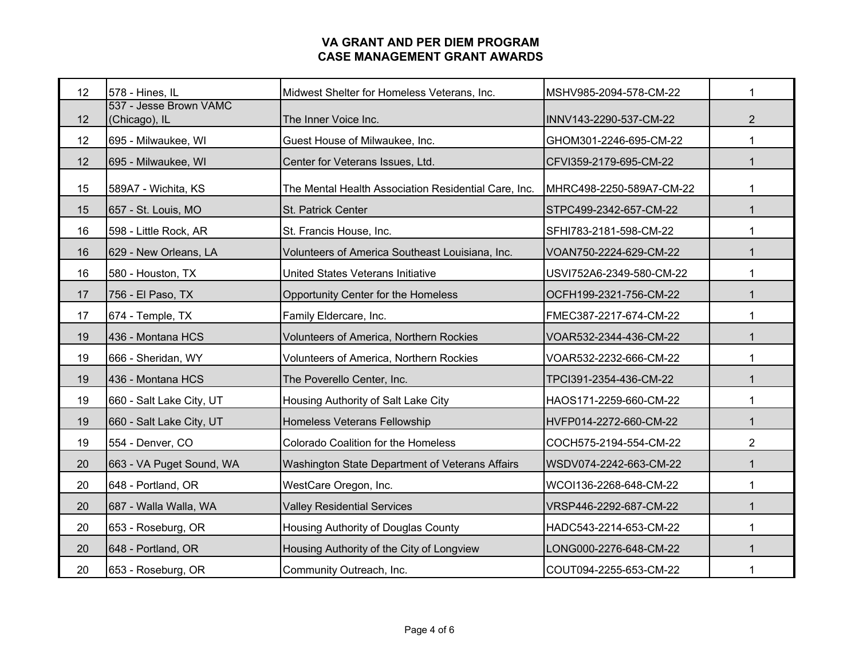| 12 | 578 - Hines, IL                         | Midwest Shelter for Homeless Veterans, Inc.          | MSHV985-2094-578-CM-22   | 1              |
|----|-----------------------------------------|------------------------------------------------------|--------------------------|----------------|
| 12 | 537 - Jesse Brown VAMC<br>(Chicago), IL | The Inner Voice Inc.                                 | INNV143-2290-537-CM-22   | $\overline{2}$ |
| 12 | 695 - Milwaukee, WI                     | Guest House of Milwaukee, Inc.                       | GHOM301-2246-695-CM-22   | 1              |
| 12 | 695 - Milwaukee, WI                     | Center for Veterans Issues, Ltd.                     | CFVI359-2179-695-CM-22   | $\mathbf 1$    |
| 15 | 589A7 - Wichita, KS                     | The Mental Health Association Residential Care, Inc. | MHRC498-2250-589A7-CM-22 | 1              |
| 15 | 657 - St. Louis, MO                     | St. Patrick Center                                   | STPC499-2342-657-CM-22   | $\mathbf{1}$   |
| 16 | 598 - Little Rock, AR                   | St. Francis House, Inc.                              | SFHI783-2181-598-CM-22   | 1              |
| 16 | 629 - New Orleans, LA                   | Volunteers of America Southeast Louisiana, Inc.      | VOAN750-2224-629-CM-22   | $\mathbf 1$    |
| 16 | 580 - Houston, TX                       | United States Veterans Initiative                    | USVI752A6-2349-580-CM-22 | 1              |
| 17 | 756 - El Paso, TX                       | Opportunity Center for the Homeless                  | OCFH199-2321-756-CM-22   | $\mathbf{1}$   |
| 17 | 674 - Temple, TX                        | Family Eldercare, Inc.                               | FMEC387-2217-674-CM-22   | 1              |
| 19 | 436 - Montana HCS                       | Volunteers of America, Northern Rockies              | VOAR532-2344-436-CM-22   | $\mathbf{1}$   |
| 19 | 666 - Sheridan, WY                      | Volunteers of America, Northern Rockies              | VOAR532-2232-666-CM-22   | 1              |
| 19 | 436 - Montana HCS                       | The Poverello Center, Inc.                           | TPCI391-2354-436-CM-22   | $\mathbf 1$    |
| 19 | 660 - Salt Lake City, UT                | Housing Authority of Salt Lake City                  | HAOS171-2259-660-CM-22   | $\mathbf{1}$   |
| 19 | 660 - Salt Lake City, UT                | <b>Homeless Veterans Fellowship</b>                  | HVFP014-2272-660-CM-22   | $\mathbf{1}$   |
| 19 | 554 - Denver, CO                        | Colorado Coalition for the Homeless                  | COCH575-2194-554-CM-22   | $\overline{2}$ |
| 20 | 663 - VA Puget Sound, WA                | Washington State Department of Veterans Affairs      | WSDV074-2242-663-CM-22   | 1              |
| 20 | 648 - Portland, OR                      | WestCare Oregon, Inc.                                | WCOI136-2268-648-CM-22   | 1              |
| 20 | 687 - Walla Walla, WA                   | <b>Valley Residential Services</b>                   | VRSP446-2292-687-CM-22   | $\mathbf{1}$   |
| 20 | 653 - Roseburg, OR                      | Housing Authority of Douglas County                  | HADC543-2214-653-CM-22   | 1              |
| 20 | 648 - Portland, OR                      | Housing Authority of the City of Longview            | LONG000-2276-648-CM-22   | 1              |
| 20 | 653 - Roseburg, OR                      | Community Outreach, Inc.                             | COUT094-2255-653-CM-22   | 1              |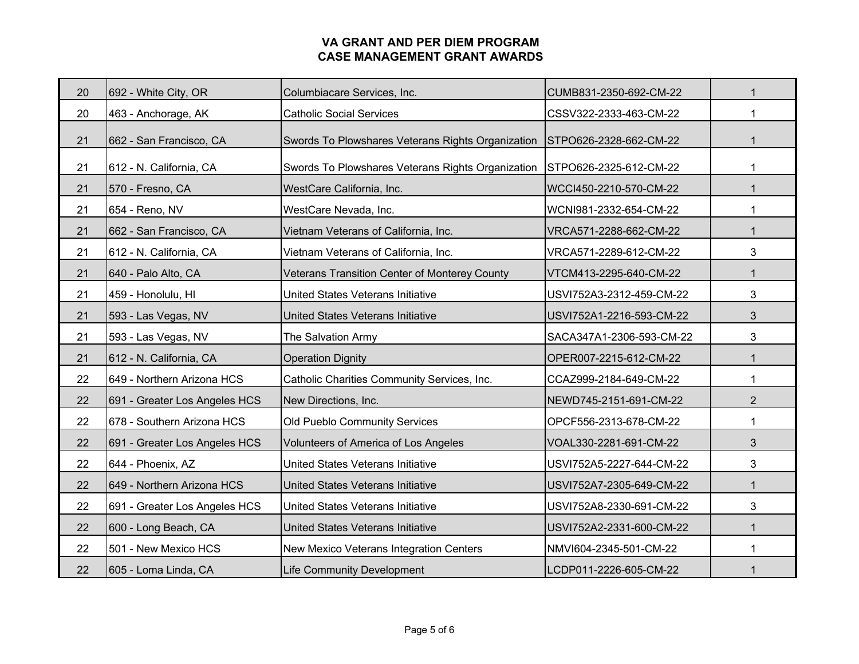| 20 | 692 - White City, OR          | Columbiacare Services, Inc.                       | CUMB831-2350-692-CM-22   | $\mathbf{1}$   |
|----|-------------------------------|---------------------------------------------------|--------------------------|----------------|
| 20 | 463 - Anchorage, AK           | <b>Catholic Social Services</b>                   | CSSV322-2333-463-CM-22   | $\mathbf{1}$   |
| 21 | 662 - San Francisco, CA       | Swords To Plowshares Veterans Rights Organization | STPO626-2328-662-CM-22   | 1              |
| 21 | 612 - N. California, CA       | Swords To Plowshares Veterans Rights Organization | STPO626-2325-612-CM-22   |                |
| 21 | 570 - Fresno, CA              | WestCare California, Inc.                         | WCCI450-2210-570-CM-22   | $\mathbf{1}$   |
| 21 | 654 - Reno, NV                | WestCare Nevada, Inc.                             | WCNI981-2332-654-CM-22   | 1              |
| 21 | 662 - San Francisco, CA       | Vietnam Veterans of California, Inc.              | VRCA571-2288-662-CM-22   | $\mathbf{1}$   |
| 21 | 612 - N. California, CA       | Vietnam Veterans of California, Inc.              | VRCA571-2289-612-CM-22   | 3              |
| 21 | 640 - Palo Alto, CA           | Veterans Transition Center of Monterey County     | VTCM413-2295-640-CM-22   | $\mathbf{1}$   |
| 21 | 459 - Honolulu, HI            | United States Veterans Initiative                 | USVI752A3-2312-459-CM-22 | 3              |
| 21 | 593 - Las Vegas, NV           | United States Veterans Initiative                 | USVI752A1-2216-593-CM-22 | 3              |
| 21 | 593 - Las Vegas, NV           | The Salvation Army                                | SACA347A1-2306-593-CM-22 | 3              |
| 21 | 612 - N. California, CA       | <b>Operation Dignity</b>                          | OPER007-2215-612-CM-22   | $\mathbf{1}$   |
| 22 | 649 - Northern Arizona HCS    | Catholic Charities Community Services, Inc.       | CCAZ999-2184-649-CM-22   | 1              |
| 22 | 691 - Greater Los Angeles HCS | New Directions, Inc.                              | NEWD745-2151-691-CM-22   | $\overline{2}$ |
| 22 | 678 - Southern Arizona HCS    | Old Pueblo Community Services                     | OPCF556-2313-678-CM-22   | 1              |
| 22 | 691 - Greater Los Angeles HCS | Volunteers of America of Los Angeles              | VOAL330-2281-691-CM-22   | 3              |
| 22 | 644 - Phoenix, AZ             | United States Veterans Initiative                 | USVI752A5-2227-644-CM-22 | 3              |
| 22 | 649 - Northern Arizona HCS    | United States Veterans Initiative                 | USVI752A7-2305-649-CM-22 | $\mathbf{1}$   |
| 22 | 691 - Greater Los Angeles HCS | United States Veterans Initiative                 | USVI752A8-2330-691-CM-22 | 3              |
| 22 | 600 - Long Beach, CA          | United States Veterans Initiative                 | USVI752A2-2331-600-CM-22 | 1              |
| 22 | 501 - New Mexico HCS          | New Mexico Veterans Integration Centers           | NMVI604-2345-501-CM-22   | 1              |
| 22 | 605 - Loma Linda, CA          | <b>Life Community Development</b>                 | LCDP011-2226-605-CM-22   |                |